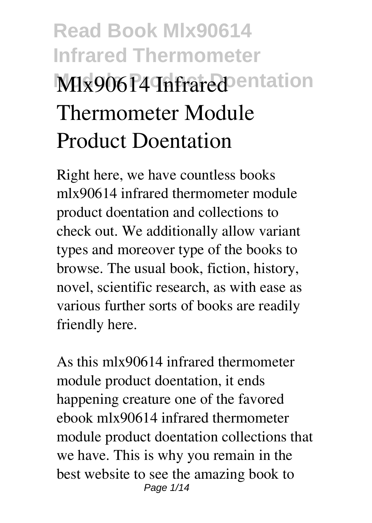# **Read Book Mlx90614 Infrared Thermometer Mix90614 Infrared** pentation **Thermometer Module Product Doentation**

Right here, we have countless books **mlx90614 infrared thermometer module product doentation** and collections to check out. We additionally allow variant types and moreover type of the books to browse. The usual book, fiction, history, novel, scientific research, as with ease as various further sorts of books are readily friendly here.

As this mlx90614 infrared thermometer module product doentation, it ends happening creature one of the favored ebook mlx90614 infrared thermometer module product doentation collections that we have. This is why you remain in the best website to see the amazing book to Page 1/14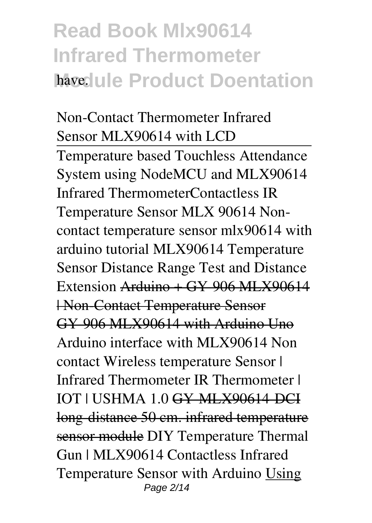# **Read Book Mlx90614 Infrared Thermometer have.** Jule Product Doentation

#### *Non-Contact Thermometer Infrared Sensor MLX90614 with LCD*

Temperature based Touchless Attendance System using NodeMCU and MLX90614 Infrared Thermometer**Contactless IR Temperature Sensor MLX 90614 Noncontact temperature sensor mlx90614 with arduino tutorial** MLX90614 Temperature Sensor Distance Range Test and Distance Extension Arduino + GY-906 MLX90614 | Non-Contact Temperature Sensor GY-906 MLX90614 with Arduino Uno *Arduino interface with MLX90614 Non contact Wireless temperature Sensor | Infrared Thermometer IR Thermometer | IOT | USHMA 1.0* GY-MLX90614-DCI long-distance 50 cm. infrared temperature sensor module **DIY Temperature Thermal Gun | MLX90614 Contactless Infrared Temperature Sensor with Arduino** Using Page 2/14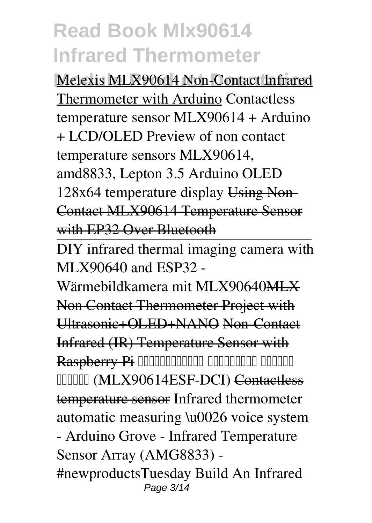**Melexis MLX90614 Non-Contact Infrared** Thermometer with Arduino Contactless temperature sensor MLX90614 + Arduino + LCD/OLED *Preview of non contact temperature sensors MLX90614, amd8833, Lepton 3.5 Arduino OLED* 128x64 temperature display Using Non-Contact MLX90614 Temperature Sensor with EP32 Over Bluetooth

DIY infrared thermal imaging camera with MLX90640 and ESP32 -

Wärmebildkamera mit MLX90640MLX Non Contact Thermometer Project with Ultrasonic+OLED+NANO Non-Contact Infrared (IR) Temperature Sensor with Raspberry Pi 00000000000 0000000 00000 **PRIPER (MLX90614ESF-DCI)** Contactless temperature sensor **Infrared thermometer automatic measuring \u0026 voice system - Arduino** Grove - Infrared Temperature Sensor Array (AMG8833) - #newproductsTuesday **Build An Infrared**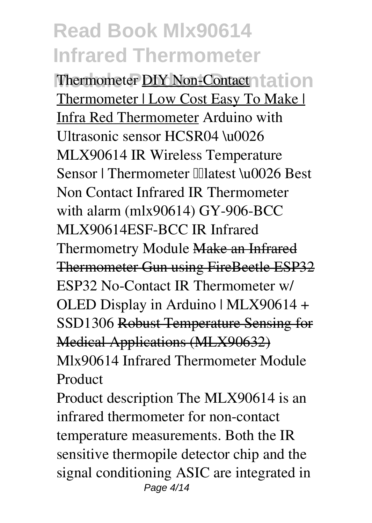**Thermometer DIY Non-Contact tration** Thermometer | Low Cost Easy To Make | Infra Red Thermometer **Arduino with Ultrasonic sensor HCSR04 \u0026 MLX90614 IR Wireless Temperature Sensor | Thermometer IIIlatest**  $\mu$ **0026** Best **Non Contact Infrared IR Thermometer with alarm (mlx90614) GY-906-BCC MLX90614ESF-BCC IR Infrared Thermometry Module** Make an Infrared Thermometer Gun using FireBeetle ESP32 **ESP32 No-Contact IR Thermometer w/ OLED Display in Arduino | MLX90614 + SSD1306** Robust Temperature Sensing for Medical Applications (MLX90632) **Mlx90614 Infrared Thermometer Module Product**

Product description The MLX90614 is an infrared thermometer for non-contact temperature measurements. Both the IR sensitive thermopile detector chip and the signal conditioning ASIC are integrated in Page 4/14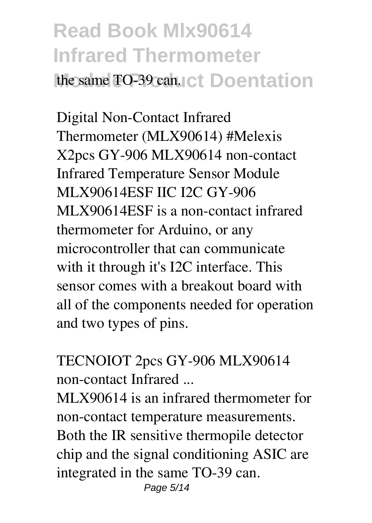#### **Read Book Mlx90614 Infrared Thermometer** the same TO-39 can. Ict Doentation

**Digital Non-Contact Infrared Thermometer (MLX90614) #Melexis** X2pcs GY-906 MLX90614 non-contact Infrared Temperature Sensor Module MLX90614ESF IIC I2C GY-906 MLX90614ESF is a non-contact infrared thermometer for Arduino, or any microcontroller that can communicate with it through it's I2C interface. This sensor comes with a breakout board with all of the components needed for operation and two types of pins.

#### **TECNOIOT 2pcs GY-906 MLX90614 non-contact Infrared ...**

MLX90614 is an infrared thermometer for non-contact temperature measurements. Both the IR sensitive thermopile detector chip and the signal conditioning ASIC are integrated in the same TO-39 can.

Page 5/14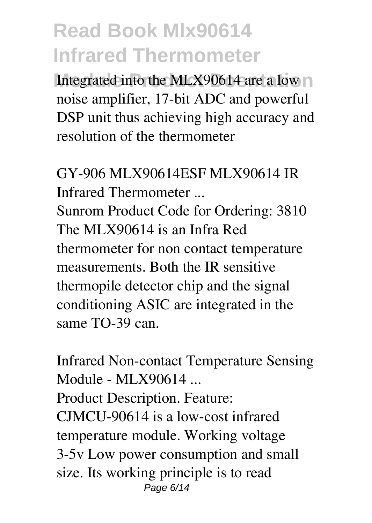**Integrated into the MLX90614 are a low** noise amplifier, 17-bit ADC and powerful DSP unit thus achieving high accuracy and resolution of the thermometer

**GY-906 MLX90614ESF MLX90614 IR Infrared Thermometer ...** Sunrom Product Code for Ordering: 3810 The MLX90614 is an Infra Red thermometer for non contact temperature measurements. Both the IR sensitive thermopile detector chip and the signal conditioning ASIC are integrated in the same TO-39 can

**Infrared Non-contact Temperature Sensing Module - MLX90614 ...**

Product Description. Feature: CJMCU-90614 is a low-cost infrared temperature module. Working voltage 3-5v Low power consumption and small size. Its working principle is to read Page 6/14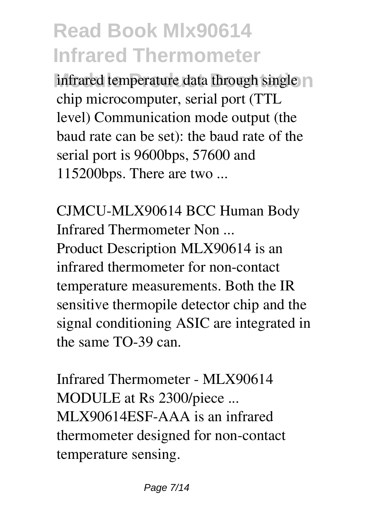**infrared temperature data through single** chip microcomputer, serial port (TTL level) Communication mode output (the baud rate can be set): the baud rate of the serial port is 9600bps, 57600 and 115200bps. There are two ...

**CJMCU-MLX90614 BCC Human Body Infrared Thermometer Non ...** Product Description MLX90614 is an infrared thermometer for non-contact temperature measurements. Both the IR sensitive thermopile detector chip and the signal conditioning ASIC are integrated in the same TO-39 can.

**Infrared Thermometer - MLX90614 MODULE at Rs 2300/piece ...** MLX90614ESF-AAA is an infrared thermometer designed for non-contact temperature sensing.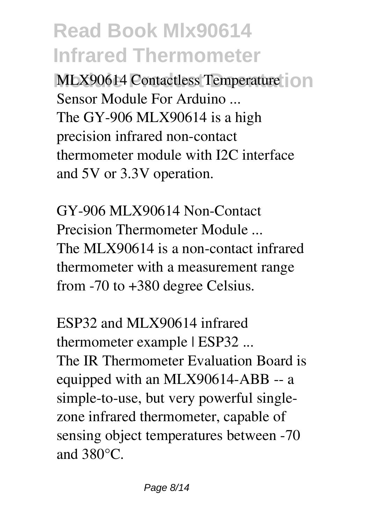**MLX90614 Contactless Temperature** 10 n **Sensor Module For Arduino ...** The GY-906 MLX90614 is a high precision infrared non-contact thermometer module with I2C interface and 5V or 3.3V operation.

**GY-906 MLX90614 Non-Contact Precision Thermometer Module ...** The MLX90614 is a non-contact infrared thermometer with a measurement range from -70 to +380 degree Celsius.

**ESP32 and MLX90614 infrared thermometer example | ESP32 ...** The IR Thermometer Evaluation Board is equipped with an MLX90614-ABB -- a simple-to-use, but very powerful singlezone infrared thermometer, capable of sensing object temperatures between -70 and 380°C.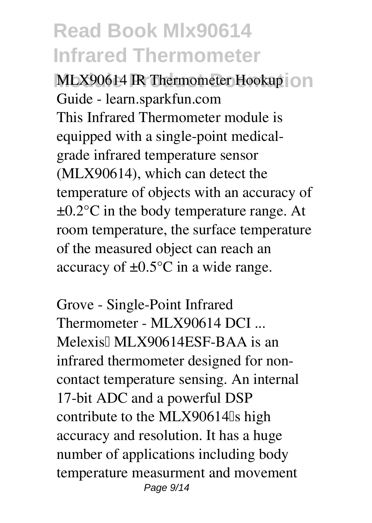**MLX90614 IR Thermometer Hookup On Guide - learn.sparkfun.com** This Infrared Thermometer module is equipped with a single-point medicalgrade infrared temperature sensor (MLX90614), which can detect the temperature of objects with an accuracy of  $\pm 0.2$ °C in the body temperature range. At room temperature, the surface temperature of the measured object can reach an accuracy of  $\pm 0.5^{\circ}$ C in a wide range.

**Grove - Single-Point Infrared Thermometer - MLX90614 DCI ...** Melexis<sup>[1</sup> MLX90614ESF-BAA is an infrared thermometer designed for noncontact temperature sensing. An internal 17-bit ADC and a powerful DSP contribute to the MLX90614 $\mathbb{I}_s$  high accuracy and resolution. It has a huge number of applications including body temperature measurment and movement Page 9/14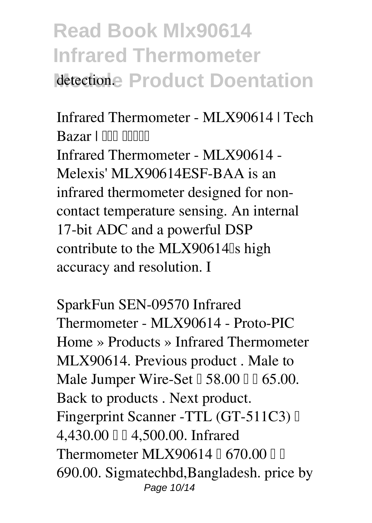# **Read Book Mlx90614 Infrared Thermometer** *<u>detectione</u>* Product Doentation

**Infrared Thermometer - MLX90614 | Tech Bazar | 000 00000** Infrared Thermometer - MLX90614 - Melexis' MLX90614ESF-BAA is an infrared thermometer designed for noncontact temperature sensing. An internal 17-bit ADC and a powerful DSP contribute to the MLX90614<sup>[]</sup>s high accuracy and resolution. I

**SparkFun SEN-09570 Infrared Thermometer - MLX90614 - Proto-PIC** Home » Products » Infrared Thermometer MLX90614. Previous product . Male to Male Jumper Wire-Set  $\mathbb{I}$  58.00  $\mathbb{I}$   $\mathbb{I}$  65.00. Back to products . Next product. Fingerprint Scanner -TTL (GT-511C3)  $\mathbb{I}$  $4,430,00$   $\Box$   $4,500,00$ . Infrared Thermometer MLX90614  $\beta$  670.00  $\beta$   $\beta$ 690.00. Sigmatechbd,Bangladesh. price by Page 10/14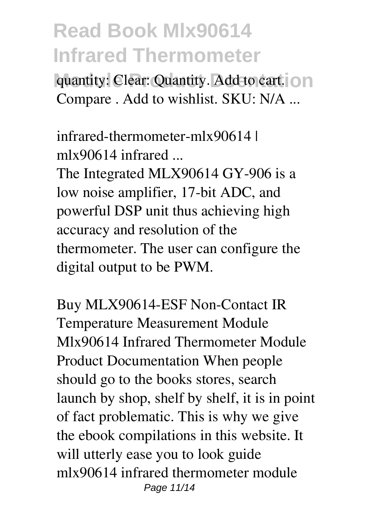quantity: Clear: Quantity. Add to cart. On Compare . Add to wishlist. SKU: N/A ...

**infrared-thermometer-mlx90614 | mlx90614 infrared ...**

The Integrated MLX90614 GY-906 is a low noise amplifier, 17-bit ADC, and powerful DSP unit thus achieving high accuracy and resolution of the thermometer. The user can configure the digital output to be PWM.

**Buy MLX90614-ESF Non-Contact IR Temperature Measurement Module** Mlx90614 Infrared Thermometer Module Product Documentation When people should go to the books stores, search launch by shop, shelf by shelf, it is in point of fact problematic. This is why we give the ebook compilations in this website. It will utterly ease you to look guide mlx90614 infrared thermometer module Page 11/14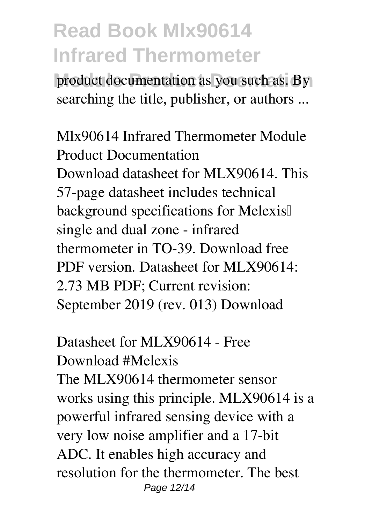product documentation as you such as. By searching the title, publisher, or authors ...

**Mlx90614 Infrared Thermometer Module Product Documentation** Download datasheet for MLX90614. This 57-page datasheet includes technical background specifications for Melexis<sup>[]</sup> single and dual zone - infrared thermometer in TO-39. Download free PDF version. Datasheet for MLX90614: 2.73 MB PDF; Current revision: September 2019 (rev. 013) Download

**Datasheet for MLX90614 - Free Download #Melexis** The MLX90614 thermometer sensor works using this principle. MLX90614 is a powerful infrared sensing device with a very low noise amplifier and a 17-bit ADC. It enables high accuracy and resolution for the thermometer. The best Page 12/14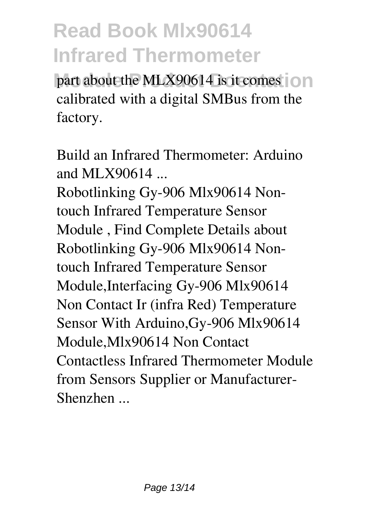part about the MLX90614 is it comes on calibrated with a digital SMBus from the factory.

**Build an Infrared Thermometer: Arduino and MLX90614 ...**

Robotlinking Gy-906 Mlx90614 Nontouch Infrared Temperature Sensor Module , Find Complete Details about Robotlinking Gy-906 Mlx90614 Nontouch Infrared Temperature Sensor Module,Interfacing Gy-906 Mlx90614 Non Contact Ir (infra Red) Temperature Sensor With Arduino,Gy-906 Mlx90614 Module,Mlx90614 Non Contact Contactless Infrared Thermometer Module from Sensors Supplier or Manufacturer-Shenzhen ...